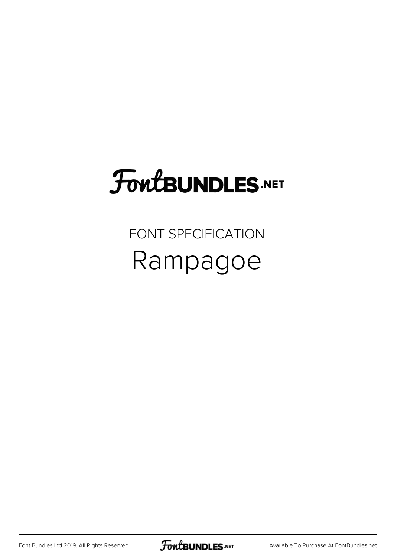## **FoutBUNDLES.NET**

## FONT SPECIFICATION Rampagoe

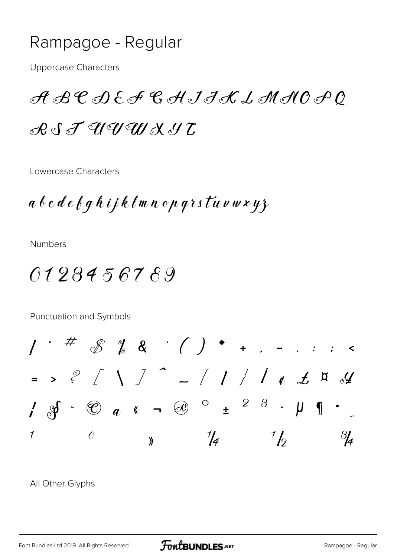## Rampagoe - Regular

**Uppercase Characters** 

 ${\mathscr A} {\mathscr B} {\mathscr C} {\mathscr A} {\mathscr C} {\mathscr A} {\mathscr C} {\mathscr A} {\mathscr C} {\mathscr I} {\mathscr A} {\mathscr L} {\mathscr L} {\mathscr L} {\mathscr M} {\mathscr A} {\mathscr O} {\mathscr O} {\mathscr O}$  $R \circ S \not T \circ U \circ U \circ U \circ X \circ U$ 

Lowercase Characters

 $a$   $b$   $c$   $d$   $e$   $f$   $g$   $h$   $i$   $j$   $k$   $\ell$   $m$   $n$   $o$   $p$   $q$   $r$   $s$   $\ell$   $u$   $v$   $w$   $x$   $y$   $z$ 

**Numbers** 

0123456789

Punctuation and Symbols

 $\frac{1}{2}$  #  $\frac{1}{2}$   $\frac{1}{2}$   $\frac{1}{2}$   $\frac{1}{2}$   $\frac{1}{2}$   $\frac{1}{2}$   $\frac{1}{2}$   $\frac{1}{2}$   $\frac{1}{2}$   $\frac{1}{2}$   $\frac{1}{2}$   $\frac{1}{2}$   $\frac{1}{2}$   $\frac{1}{2}$   $\frac{1}{2}$   $\frac{1}{2}$   $\frac{1}{2}$   $\frac{1}{2}$   $\frac{1}{2}$   $\frac{1}{2}$   $\frac{1}{2}$  $\Rightarrow$  ?  $\left[\begin{array}{c|c} 1 & 1 \end{array}\right]$   $\left[\begin{array}{c|c} 1 & 1 \end{array}\right]$   $\left[\begin{array}{c|c} 1 & 1 \end{array}\right]$   $\left[\begin{array}{c|c} 1 & 1 \end{array}\right]$   $\left[\begin{array}{c|c} 1 & 1 \end{array}\right]$  $\int$  of  $\mathscr{C}$  as  $\sim$   $\mathscr{C}$  e  $\sim$   $\mathscr{C}$  e  $\sim$   $\mathscr{C}$  e  $\sim$   $\mathscr{C}$  e  $\sim$   $\mathscr{C}$  e  $\sim$   $\mathscr{C}$  e  $\sim$   $\mathscr{C}$  e  $\sim$   $\mathscr{C}$  e  $\sim$   $\mathscr{C}$  e  $\sim$   $\mathscr{C}$  e  $\sim$   $\mathscr{C}$  e  $\sim$   $\mathscr{C}$  e  $\sim$   $\mathscr$  $\frac{1}{4}$  $\frac{1}{2}$  $\boldsymbol{\mathcal{J}}$  $\frac{3}{4}$  $\theta$  $\lambda$ 

All Other Glyphs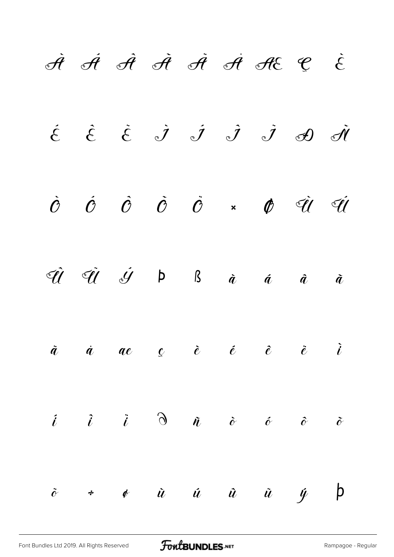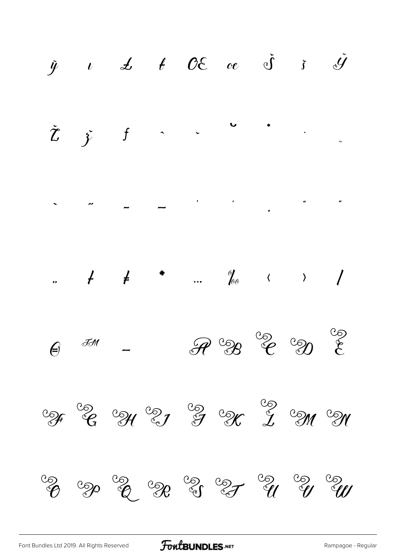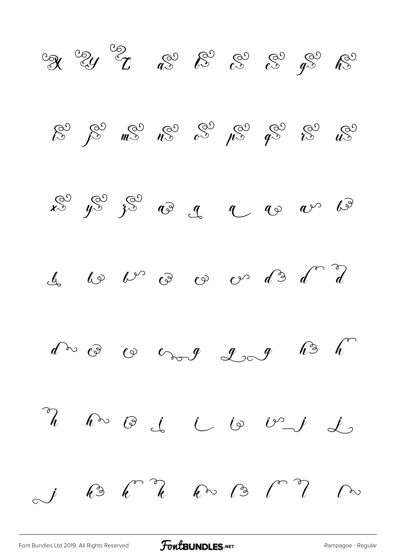